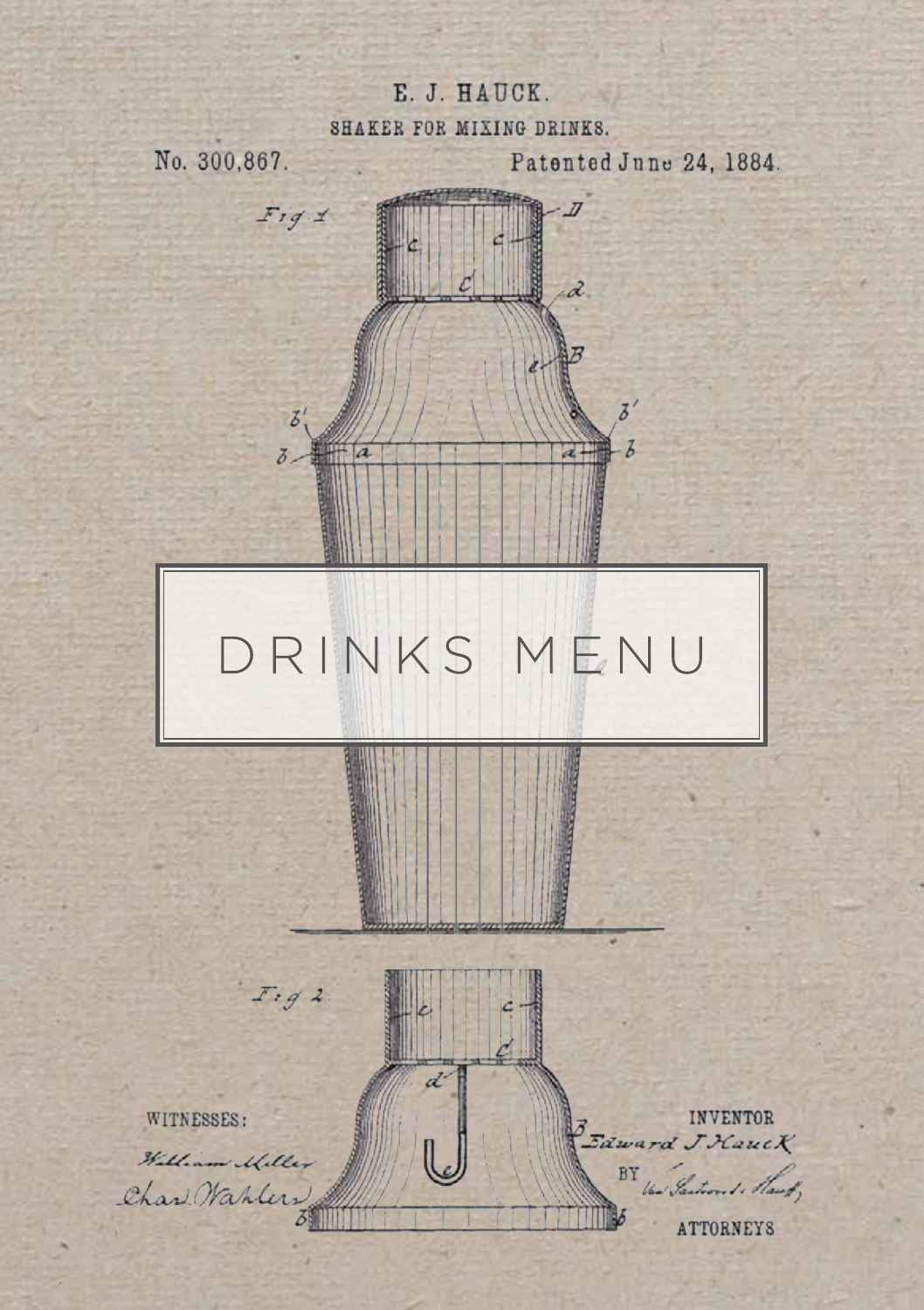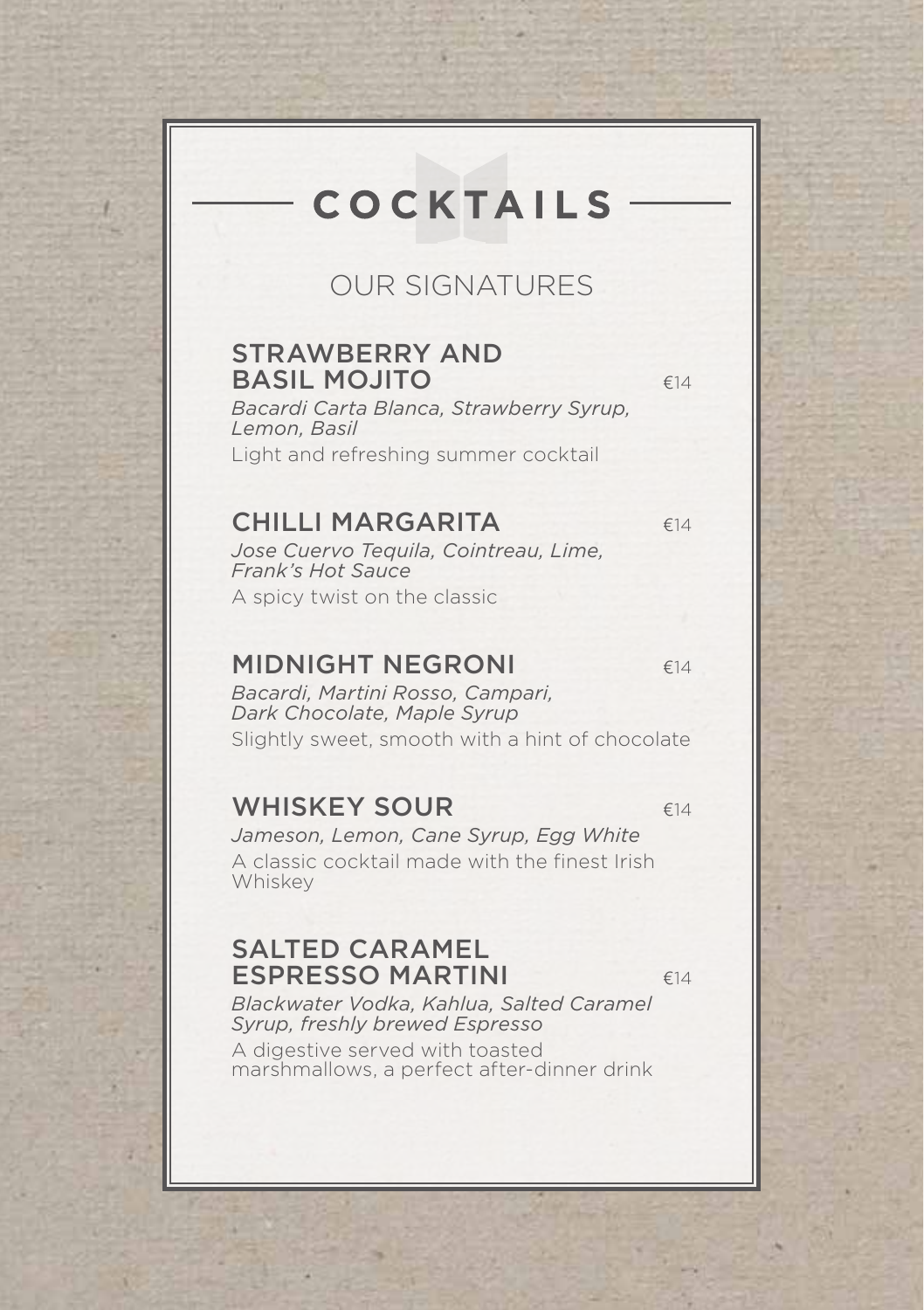# **COCKTAILS**

### OUR SIGNATURES

#### STRAWBERRY AND BASIL MOJITO 614

*Bacardi Carta Blanca, Strawberry Syrup, Lemon, Basil* Light and refreshing summer cocktail

#### CHILLI MARGARITA €14

*Jose Cuervo Tequila, Cointreau, Lime, Frank's Hot Sauce* A spicy twist on the classic

#### MIDNIGHT NEGRONI **E14**

*Bacardi, Martini Rosso, Campari, Dark Chocolate, Maple Syrup* Slightly sweet, smooth with a hint of chocolate

#### WHISKEY SOUR  $\epsilon_{14}$

*Jameson, Lemon, Cane Syrup, Egg White* A classic cocktail made with the finest Irish Whiskey

#### SALTED CARAMEL ESPRESSO MARTINI  $\epsilon_{14}$

*Blackwater Vodka, Kahlua, Salted Caramel Syrup, freshly brewed Espresso*

A digestive served with toasted marshmallows, a perfect after-dinner drink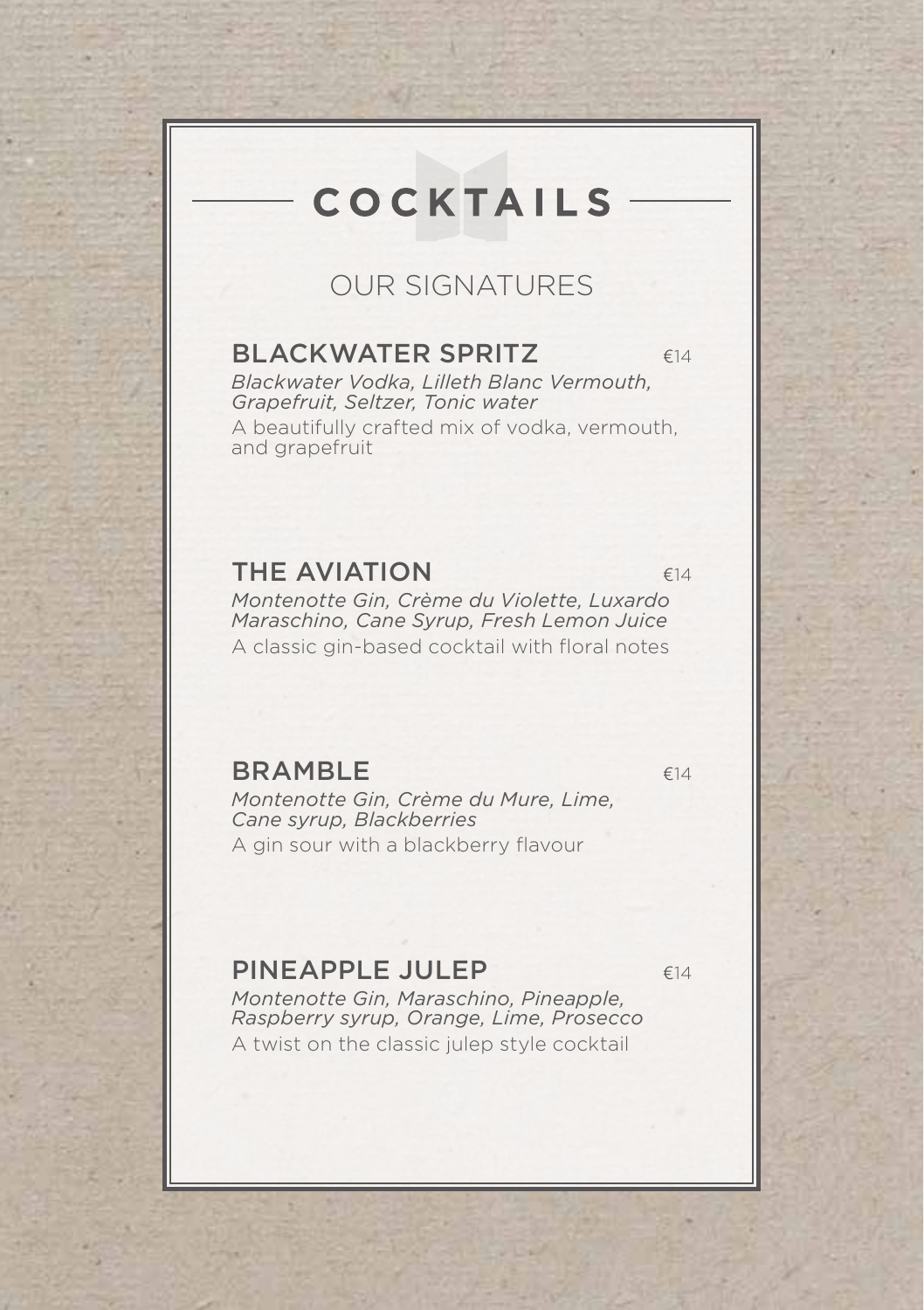# **COCKTAILS**

### OUR SIGNATURES

#### BLACKWATER SPRITZ  $614$

*Blackwater Vodka, Lilleth Blanc Vermouth, Grapefruit, Seltzer, Tonic water*

A beautifully crafted mix of vodka, vermouth, and grapefruit

#### THE AVIATION  $f14$

*Montenotte Gin, Crème du Violette, Luxardo Maraschino, Cane Syrup, Fresh Lemon Juice* A classic gin-based cocktail with floral notes

 $BRAMBLE$ 

*Montenotte Gin, Crème du Mure, Lime, Cane syrup, Blackberries* A gin sour with a blackberry flavour

#### PINEAPPLE JULEP €14

*Montenotte Gin, Maraschino, Pineapple, Raspberry syrup, Orange, Lime, Prosecco* A twist on the classic julep style cocktail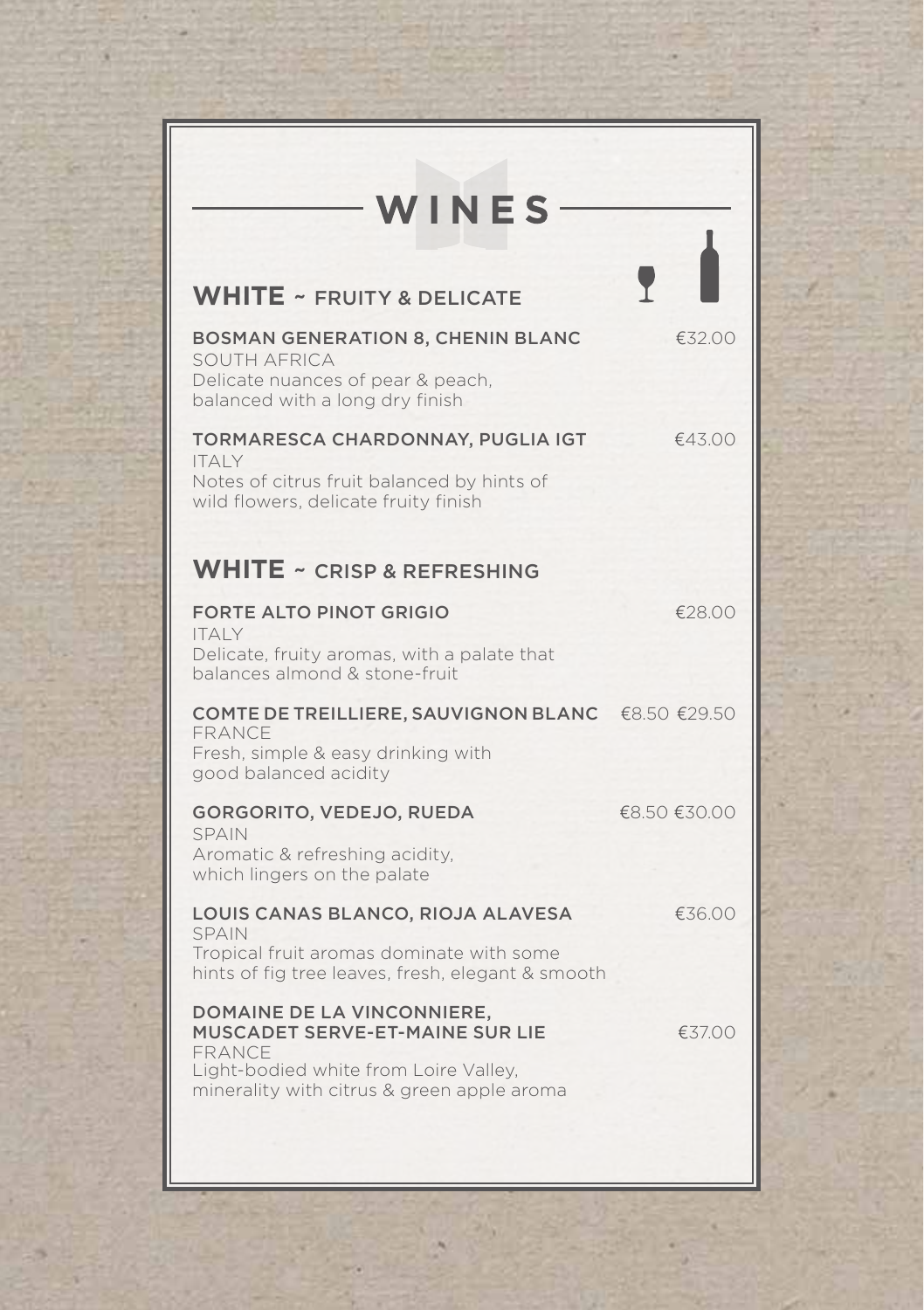| WINES                                                                                                                                                                 |              |
|-----------------------------------------------------------------------------------------------------------------------------------------------------------------------|--------------|
| <b>WHITE ~ FRUITY &amp; DELICATE</b>                                                                                                                                  |              |
| <b>BOSMAN GENERATION 8, CHENIN BLANC</b><br>SOUTH AFRICA<br>Delicate nuances of pear & peach,<br>balanced with a long dry finish                                      | €32.00       |
| TORMARESCA CHARDONNAY, PUGLIA IGT<br><b>ITALY</b><br>Notes of citrus fruit balanced by hints of<br>wild flowers, delicate fruity finish                               | €43.00       |
| <b>WHITE ~ CRISP &amp; REFRESHING</b>                                                                                                                                 |              |
| <b>FORTE ALTO PINOT GRIGIO</b><br><b>ITALY</b><br>Delicate, fruity aromas, with a palate that<br>balances almond & stone-fruit                                        | €28.00       |
| COMTE DE TREILLIERE, SAUVIGNON BLANC €8.50 €29.50<br>FRANCE<br>Fresh, simple & easy drinking with<br>good balanced acidity                                            |              |
| GORGORITO, VEDEJO, RUEDA<br><b>SPAIN</b><br>Aromatic & refreshing acidity.<br>which lingers on the palate                                                             | €8.50 €30.00 |
| LOUIS CANAS BLANCO, RIOJA ALAVESA<br><b>SPAIN</b><br>Tropical fruit aromas dominate with some<br>hints of fig tree leaves, fresh, elegant & smooth                    | €36.00       |
| DOMAINE DE LA VINCONNIERE,<br>MUSCADET SERVE-ET-MAINE SUR LIE<br><b>FRANCE</b><br>Light-bodied white from Loire Valley,<br>minerality with citrus & green apple aroma | €37.00       |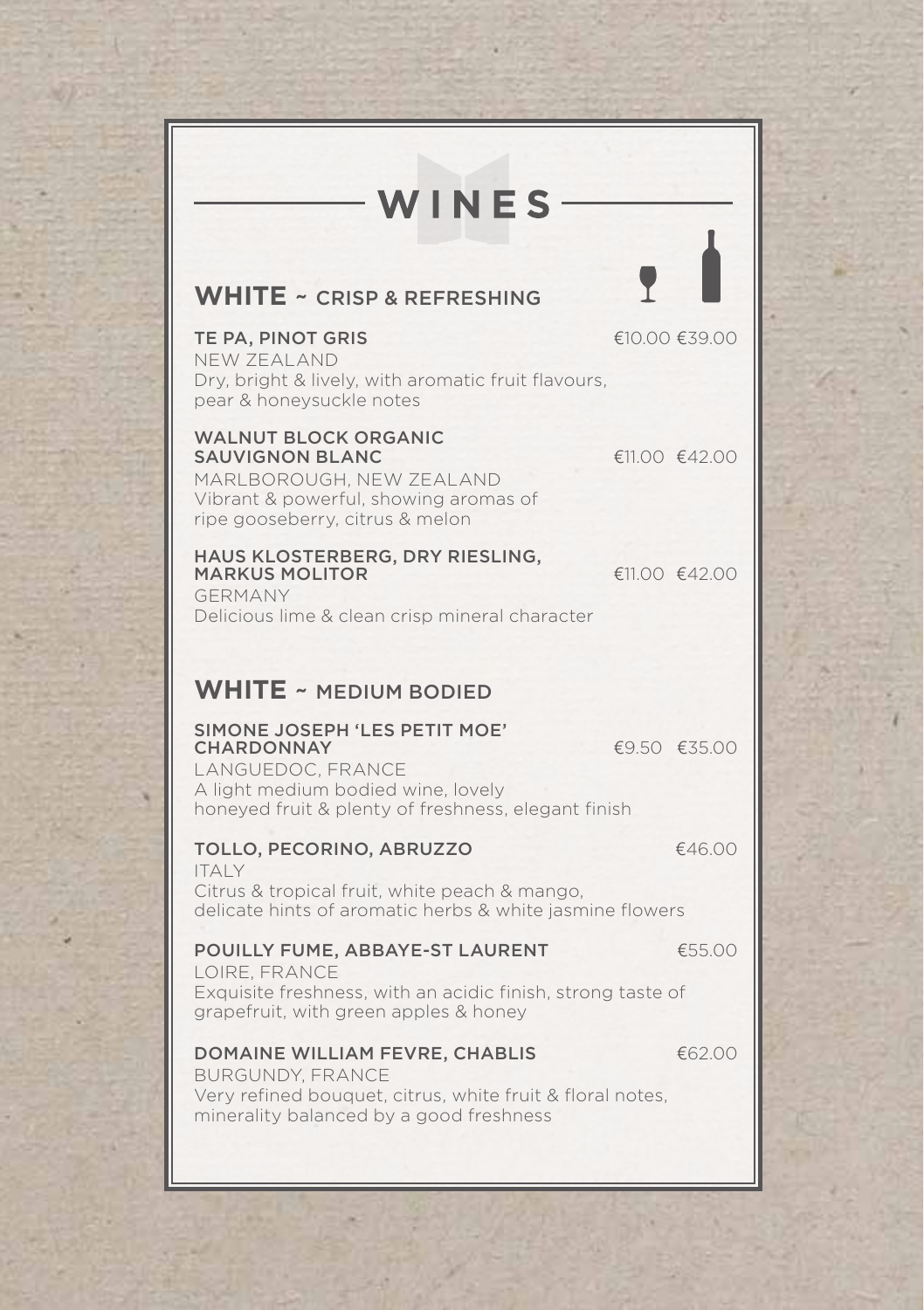| WINES                                                                                                                                                                |               |
|----------------------------------------------------------------------------------------------------------------------------------------------------------------------|---------------|
| <b>WHITE ~ CRISP &amp; REFRESHING</b>                                                                                                                                |               |
| TE PA, PINOT GRIS<br>NEW 7FAI AND<br>Dry, bright & lively, with aromatic fruit flavours,<br>pear & honeysuckle notes                                                 | €10.00 €39.00 |
| <b>WALNUT BLOCK ORGANIC</b><br><b>SAUVIGNON BLANC</b><br>MARLBOROUGH, NEW ZEALAND<br>Vibrant & powerful, showing aromas of<br>ripe gooseberry, citrus & melon        | €11.00 €42.00 |
| HAUS KLOSTERBERG, DRY RIESLING,<br><b>MARKUS MOLITOR</b><br>GERMANY<br>Delicious lime & clean crisp mineral character                                                | €11.00 €42.00 |
| <b>WHITE ~ MEDIUM BODIED</b>                                                                                                                                         |               |
| SIMONE JOSEPH 'LES PETIT MOE'<br><b>CHARDONNAY</b><br>LANGUEDOC, FRANCE<br>A light medium bodied wine, lovely<br>honeyed fruit & plenty of freshness, elegant finish | €9.50 €35.00  |
| TOLLO, PECORINO, ABRUZZO<br><b>ITALY</b><br>Citrus & tropical fruit, white peach & mango,<br>delicate hints of aromatic herbs & white jasmine flowers                | €46.00        |
| POUILLY FUME, ABBAYE-ST LAURENT<br>LOIRE, FRANCE<br>Exquisite freshness, with an acidic finish, strong taste of<br>grapefruit, with green apples & honey             | €55.00        |
| DOMAINE WILLIAM FEVRE, CHABLIS<br><b>BURGUNDY, FRANCE</b><br>Very refined bouquet, citrus, white fruit & floral notes,<br>minerality balanced by a good freshness    | €62.00        |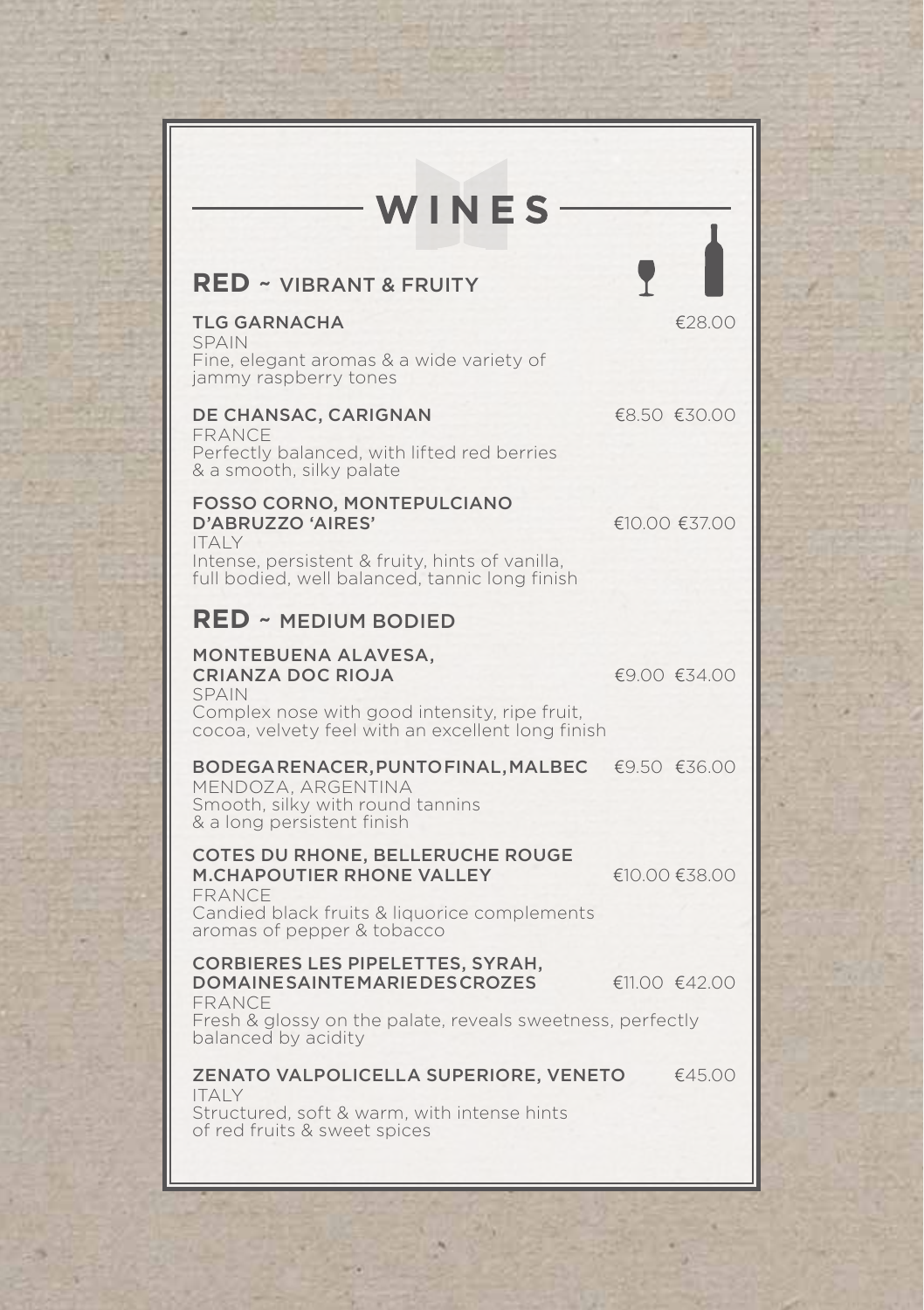| WINES                                                                                                                                                                        |               |
|------------------------------------------------------------------------------------------------------------------------------------------------------------------------------|---------------|
| <b>RED ~ VIBRANT &amp; FRUITY</b>                                                                                                                                            |               |
| <b>TLG GARNACHA</b><br><b>SPAIN</b><br>Fine, elegant aromas & a wide variety of<br>jammy raspberry tones                                                                     | €28.00        |
| DE CHANSAC, CARIGNAN<br>FRANCE<br>Perfectly balanced, with lifted red berries<br>& a smooth, silky palate                                                                    | €8.50 €30.00  |
| FOSSO CORNO, MONTEPULCIANO<br>D'ABRUZZO 'AIRES'<br><b>ITALY</b><br>Intense, persistent & fruity, hints of vanilla,<br>full bodied, well balanced, tannic long finish         | €10.00 €37.00 |
| <b>RED ~ MEDIUM BODIED</b>                                                                                                                                                   |               |
| MONTEBUENA ALAVESA,<br><b>CRIANZA DOC RIOJA</b><br><b>SPAIN</b><br>Complex nose with good intensity, ripe fruit,<br>cocoa, velvety feel with an excellent long finish        | €9.00 €34.00  |
| BODEGARENACER, PUNTOFINAL, MALBEC<br>MENDOZA, ARGENTINA<br>Smooth, silky with round tannins<br>& a long persistent finish                                                    | €9.50 €36.00  |
| <b>COTES DU RHONE, BELLERUCHE ROUGE</b><br><b>M.CHAPOUTIER RHONE VALLEY</b><br><b>FRANCE</b><br>Candied black fruits & liquorice complements<br>aromas of pepper & tobacco   | €10.00 €38.00 |
| <b>CORBIERES LES PIPELETTES, SYRAH,</b><br><b>DOMAINESAINTEMARIEDESCROZES</b><br>FRANCE<br>Fresh & glossy on the palate, reveals sweetness, perfectly<br>balanced by acidity | €11.00 €42.00 |
| ZENATO VALPOLICELLA SUPERIORE, VENETO<br><b>ITALY</b><br>Structured, soft & warm, with intense hints<br>of red fruits & sweet spices                                         | €45.00        |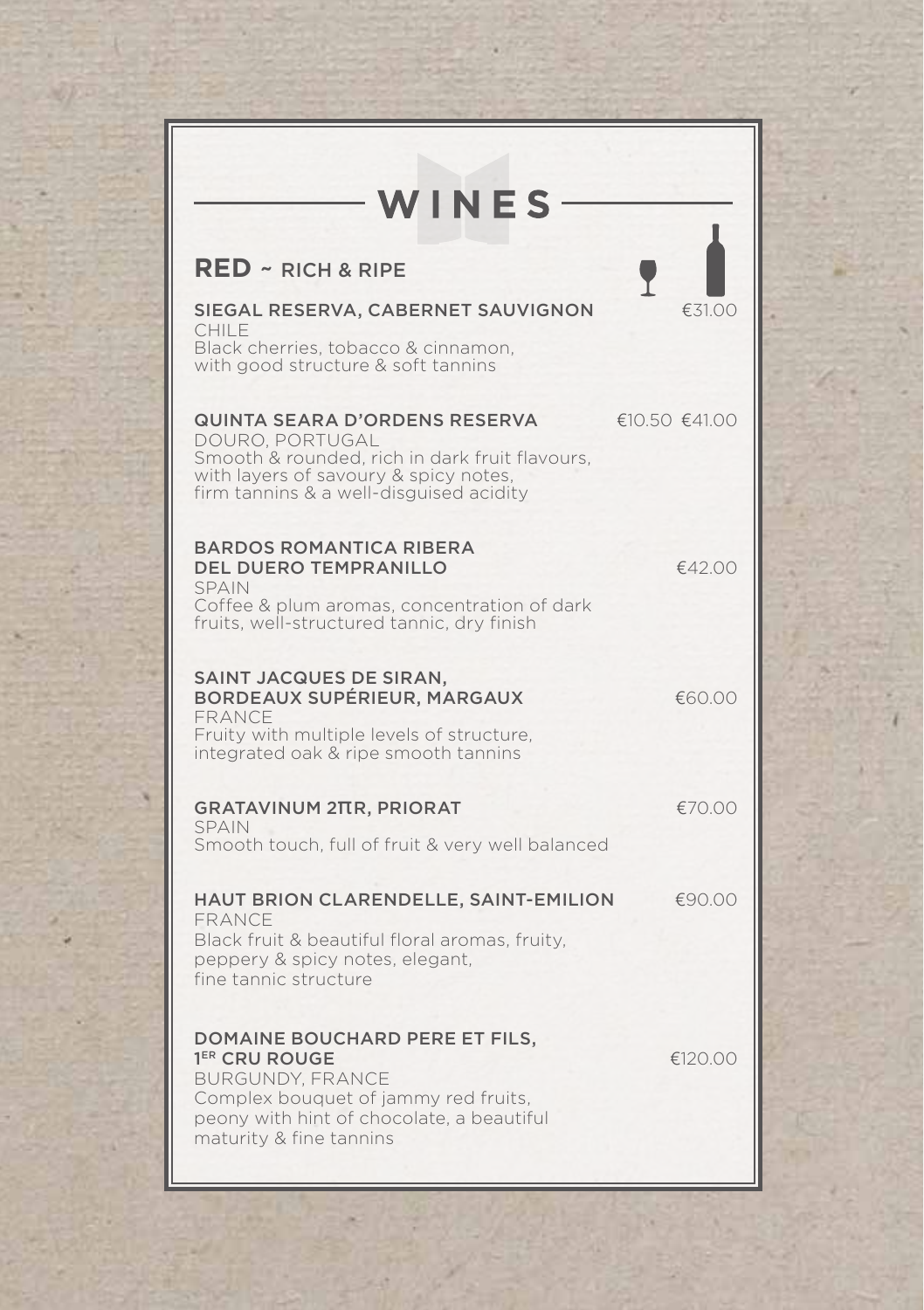| WINES                                                                                                                                                                                                  |                                   |
|--------------------------------------------------------------------------------------------------------------------------------------------------------------------------------------------------------|-----------------------------------|
| <b>RED ~ RICH &amp; RIPE</b>                                                                                                                                                                           |                                   |
| SIEGAL RESERVA, CABERNET SAUVIGNON<br>CHII F<br>Black cherries, tobacco & cinnamon,<br>with good structure & soft tannins                                                                              | €31.00                            |
| QUINTA SEARA D'ORDENS RESERVA<br>DOURO, PORTUGAL<br>Smooth & rounded, rich in dark fruit flavours,<br>with layers of savoury & spicy notes,<br>firm tannins & a well-disquised acidity                 | $\epsilon$ 10.50 $\epsilon$ 41.00 |
| <b>BARDOS ROMANTICA RIBERA</b><br><b>DEL DUERO TEMPRANILLO</b><br><b>SPAIN</b><br>Coffee & plum aromas, concentration of dark<br>fruits, well-structured tannic, dry finish                            | €42.00                            |
| SAINT JACQUES DE SIRAN,<br>BORDEAUX SUPÉRIEUR, MARGAUX<br><b>FRANCE</b><br>Fruity with multiple levels of structure.<br>integrated oak & ripe smooth tannins                                           | €60.00                            |
| <b>GRATAVINUM 2TTR, PRIORAT</b><br><b>SPAIN</b><br>Smooth touch, full of fruit & very well balanced                                                                                                    | €70.00                            |
| HAUT BRION CLARENDELLE, SAINT-EMILION<br><b>FRANCE</b><br>Black fruit & beautiful floral aromas, fruity,<br>peppery & spicy notes, elegant,<br>fine tannic structure                                   | €90.00                            |
| DOMAINE BOUCHARD PERE ET FILS,<br>1 <sup>ER</sup> CRU ROUGE<br><b>BURGUNDY, FRANCE</b><br>Complex bouquet of jammy red fruits,<br>peony with hint of chocolate, a beautiful<br>maturity & fine tannins | €120.00                           |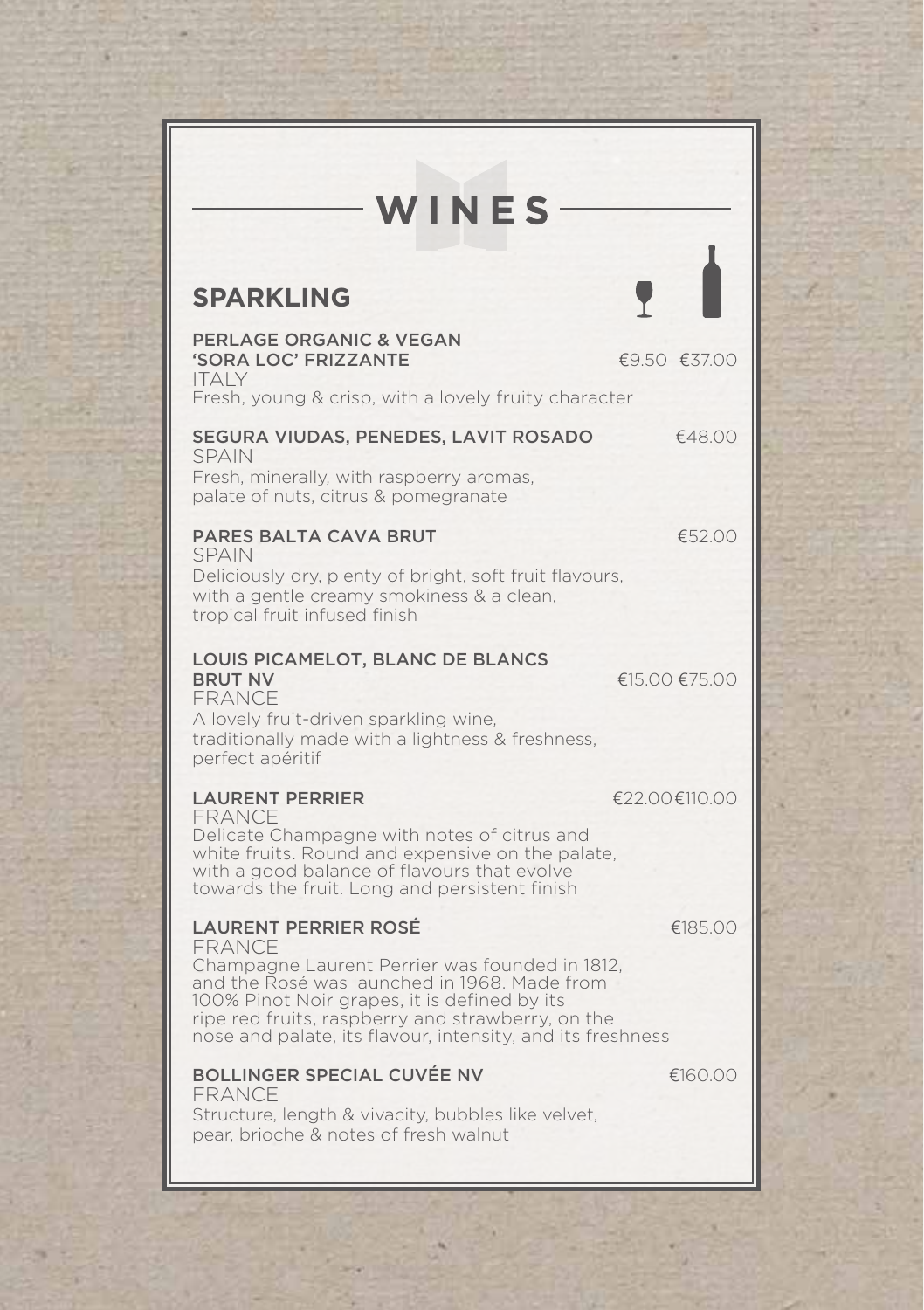# WINES-

## **SPARKLING**

| <b>PERLAGE ORGANIC &amp; VEGAN</b><br>'SORA LOC' FRIZZANTE<br><b>ITALY</b><br>Fresh, young & crisp, with a lovely fruity character                                                                                                                                                                         | €9.50 €37.00  |
|------------------------------------------------------------------------------------------------------------------------------------------------------------------------------------------------------------------------------------------------------------------------------------------------------------|---------------|
| SEGURA VIUDAS, PENEDES, LAVIT ROSADO<br><b>SPAIN</b><br>Fresh, minerally, with raspberry aromas,<br>palate of nuts, citrus & pomegranate                                                                                                                                                                   | €48.00        |
| <b>PARES BALTA CAVA BRUT</b><br><b>SPAIN</b><br>Deliciously dry, plenty of bright, soft fruit flavours,<br>with a gentle creamy smokiness & a clean,<br>tropical fruit infused finish                                                                                                                      | €52.00        |
| LOUIS PICAMELOT, BLANC DE BLANCS<br><b>BRUT NV</b><br>FRANCE<br>A lovely fruit-driven sparkling wine,<br>traditionally made with a lightness & freshness,<br>perfect apéritif                                                                                                                              | €15.00 €75.00 |
| <b>LAURENT PERRIER</b><br>FRANCE<br>Delicate Champagne with notes of citrus and<br>white fruits. Round and expensive on the palate,<br>with a good balance of flavours that evolve<br>towards the fruit. Long and persistent finish                                                                        | €22.00€110.00 |
| <b>LAURENT PERRIER ROSÉ</b><br>FRANCE<br>Champagne Laurent Perrier was founded in 1812,<br>and the Rosé was launched in 1968. Made from<br>100% Pinot Noir grapes, it is defined by its<br>ripe red fruits, raspberry and strawberry, on the<br>nose and palate, its flavour, intensity, and its freshness | €185.00       |
| <b>BOLLINGER SPECIAL CUVÉE NV</b><br><b>FRANCE</b><br>Structure, length & vivacity, bubbles like velvet,<br>pear, brioche & notes of fresh walnut                                                                                                                                                          | €160.00       |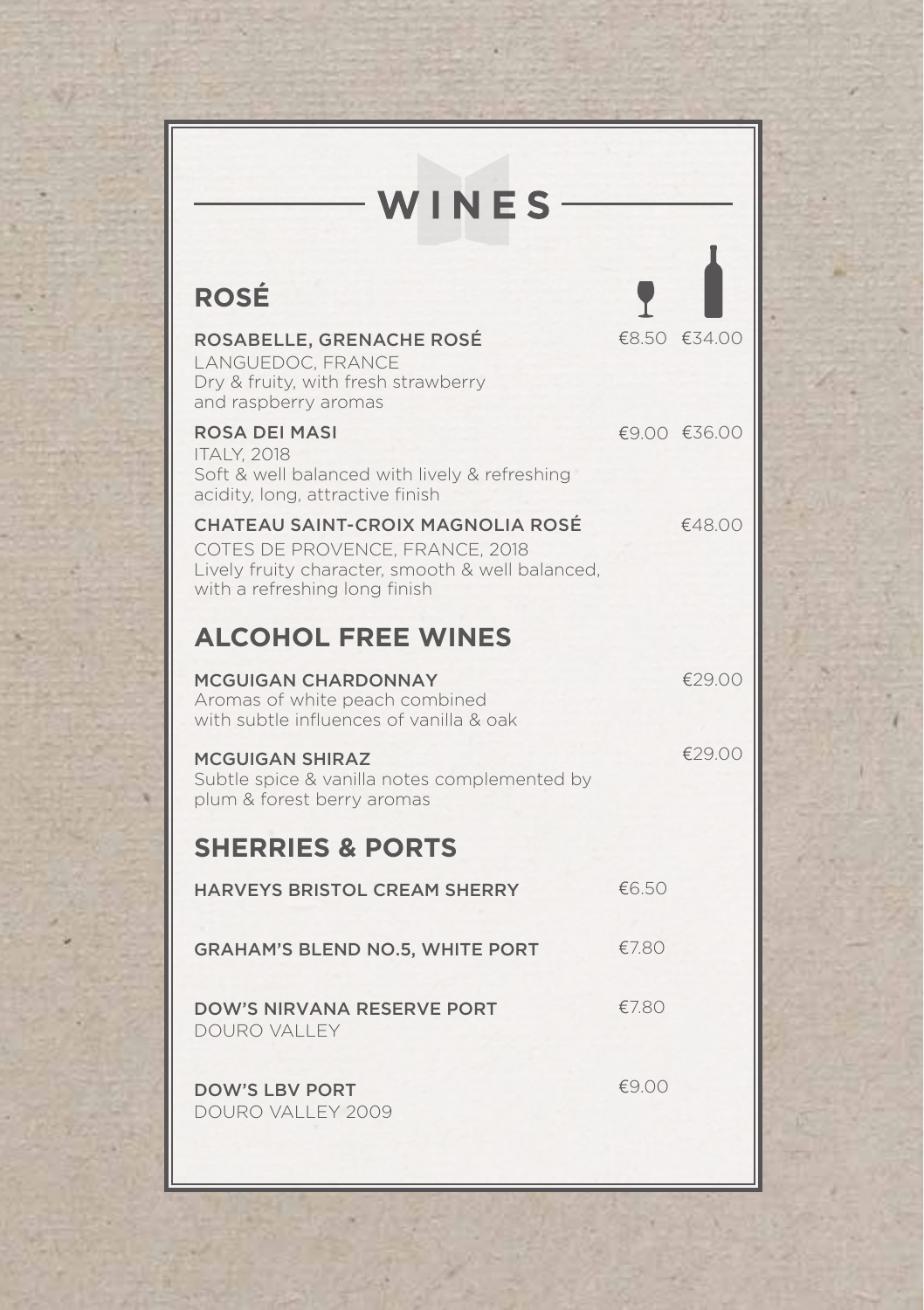| WINES-                                                                                                                                                    |       |              |
|-----------------------------------------------------------------------------------------------------------------------------------------------------------|-------|--------------|
| <b>ROSÉ</b>                                                                                                                                               |       |              |
| ROSABELLE, GRENACHE ROSÉ<br>LANGUEDOC, FRANCE<br>Dry & fruity, with fresh strawberry<br>and raspberry aromas                                              |       | €8.50 €34.00 |
| <b>ROSA DEI MASI</b><br><b>ITALY, 2018</b><br>Soft & well balanced with lively & refreshing<br>acidity, long, attractive finish                           |       | €9.00 €36.00 |
| CHATEAU SAINT-CROIX MAGNOLIA ROSÉ<br>COTES DE PROVENCE, FRANCE, 2018<br>Lively fruity character, smooth & well balanced,<br>with a refreshing long finish |       | €48.00       |
| <b>ALCOHOL FREE WINES</b>                                                                                                                                 |       |              |
| <b>MCGUIGAN CHARDONNAY</b><br>Aromas of white peach combined<br>with subtle influences of vanilla & oak                                                   |       | €29.00       |
| <b>MCGUIGAN SHIRAZ</b><br>Subtle spice & vanilla notes complemented by<br>plum & forest berry aromas                                                      |       | €29.00       |
| <b>SHERRIES &amp; PORTS</b>                                                                                                                               |       |              |
| HARVEYS BRISTOL CREAM SHERRY                                                                                                                              | €6.50 |              |
| <b>GRAHAM'S BLEND NO.5, WHITE PORT</b>                                                                                                                    | €7.80 |              |
| <b>DOW'S NIRVANA RESERVE PORT</b><br>DOURO VALLEY                                                                                                         | £7.80 |              |
| <b>DOW'S LBV PORT</b><br>DOURO VALLEY 2009                                                                                                                | £9.00 |              |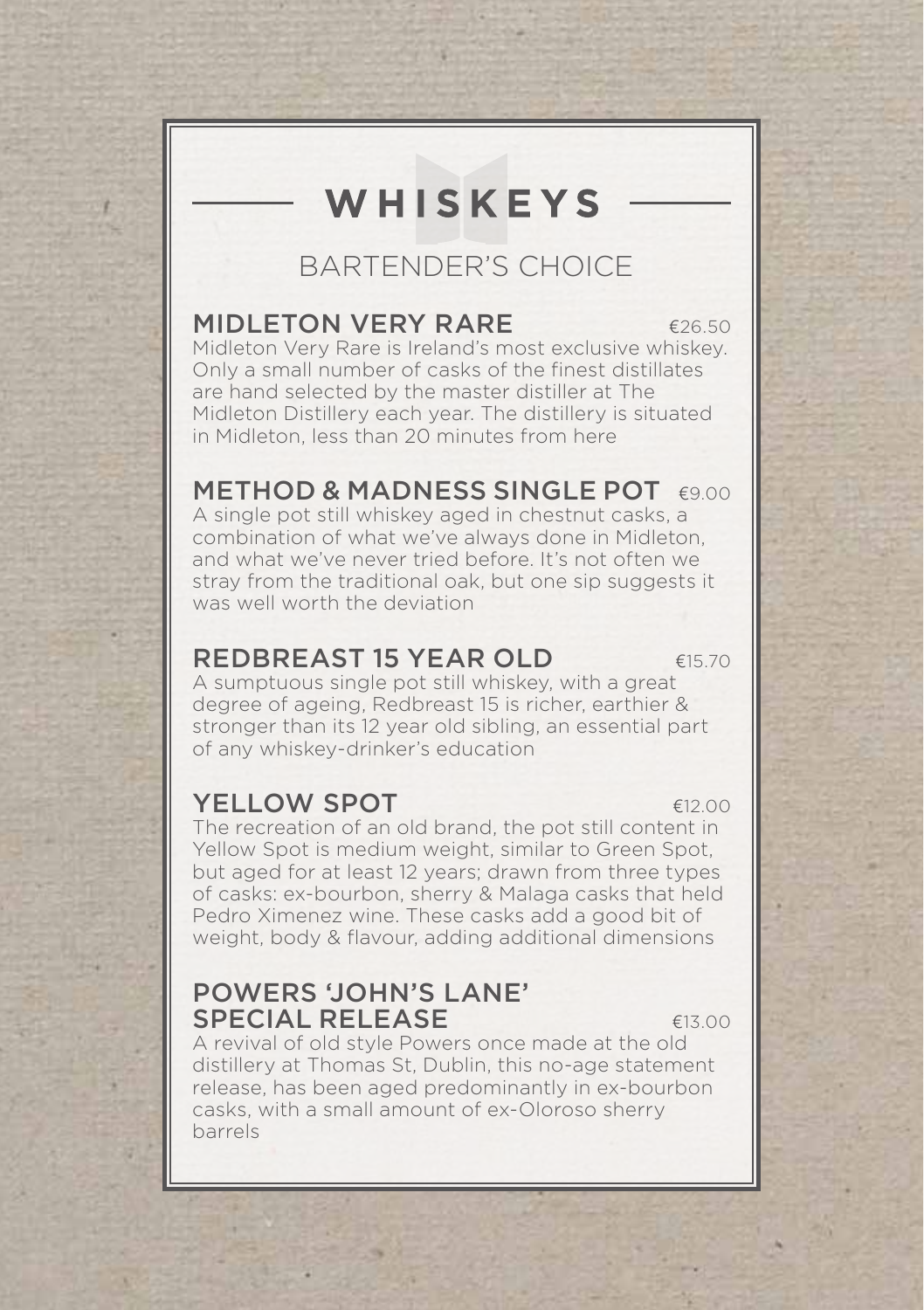# WHISKEYS

## BARTENDER'S CHOICE

#### MIDLETON VERY RARE  $\epsilon_{26.50}$

Midleton Very Rare is Ireland's most exclusive whiskey. Only a small number of casks of the finest distillates are hand selected by the master distiller at The Midleton Distillery each year. The distillery is situated in Midleton, less than 20 minutes from here

#### METHOD & MADNESS SINGLE POT €9.00

A single pot still whiskey aged in chestnut casks, a combination of what we've always done in Midleton, and what we've never tried before. It's not often we stray from the traditional oak, but one sip suggests it was well worth the deviation

#### REDBREAST 15 YEAR OLD  $615.70$

A sumptuous single pot still whiskey, with a great degree of ageing, Redbreast 15 is richer, earthier & stronger than its 12 year old sibling, an essential part of any whiskey-drinker's education

#### **YELLOW SPOT** €12.00

The recreation of an old brand, the pot still content in Yellow Spot is medium weight, similar to Green Spot, but aged for at least 12 years; drawn from three types of casks: ex-bourbon, sherry & Malaga casks that held Pedro Ximenez wine. These casks add a good bit of weight, body & flavour, adding additional dimensions

#### POWERS 'JOHN'S LANE' SPECIAL RELEASE E13.00

A revival of old style Powers once made at the old distillery at Thomas St, Dublin, this no-age statement release, has been aged predominantly in ex-bourbon casks, with a small amount of ex-Oloroso sherry barrels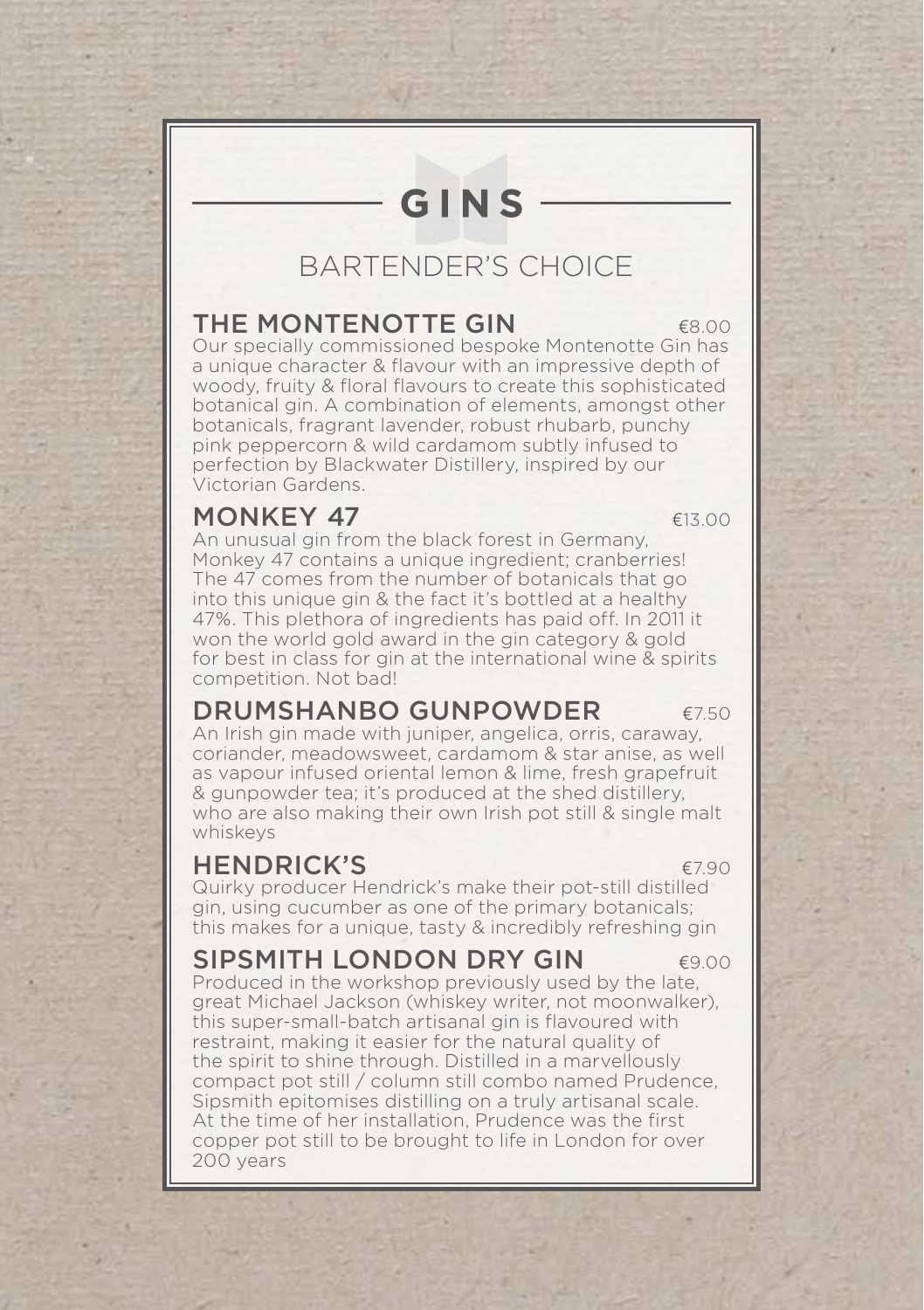# GINS

## BARTENDER'S CHOICE

#### THE MONTENOTTE GIN  $\epsilon$ 8.00

Our specially commissioned bespoke Montenotte Gin has a unique character & flavour with an impressive depth of woody, fruity & floral flavours to create this sophisticated botanical gin. A combination of elements, amongst other botanicals, fragrant lavender, robust rhubarb, punchy pink peppercorn & wild cardamom subtly infused to perfection by Blackwater Distillery, inspired by our Victorian Gardens.

#### MONKEY 47  $\epsilon$ 13.00

An unusual gin from the black forest in Germany, Monkey 47 contains a unique ingredient; cranberries! The 47 comes from the number of botanicals that go into this unique gin & the fact it's bottled at a healthy 47%. This plethora of ingredients has paid off. In 2011 it won the world gold award in the gin category & gold for best in class for gin at the international wine & spirits competition. Not bad!

#### DRUMSHANBO GUNPOWDER €7.50

An Irish gin made with juniper, angelica, orris, caraway, coriander, meadowsweet, cardamom & star anise, as well as vapour infused oriental lemon & lime, fresh grapefruit & gunpowder tea; it's produced at the shed distillery, who are also making their own Irish pot still & single malt whiskeys

#### HENDRICK'S €7.90

Quirky producer Hendrick's make their pot-still distilled gin, using cucumber as one of the primary botanicals; this makes for a unique, tasty & incredibly refreshing gin

#### SIPSMITH LONDON DRY GIN  $\epsilon$ 900

Produced in the workshop previously used by the late, great Michael Jackson (whiskey writer, not moonwalker), this super-small-batch artisanal gin is flavoured with restraint, making it easier for the natural quality of the spirit to shine through. Distilled in a marvellously compact pot still / column still combo named Prudence, Sipsmith epitomises distilling on a truly artisanal scale. At the time of her installation, Prudence was the first copper pot still to be brought to life in London for over 200 years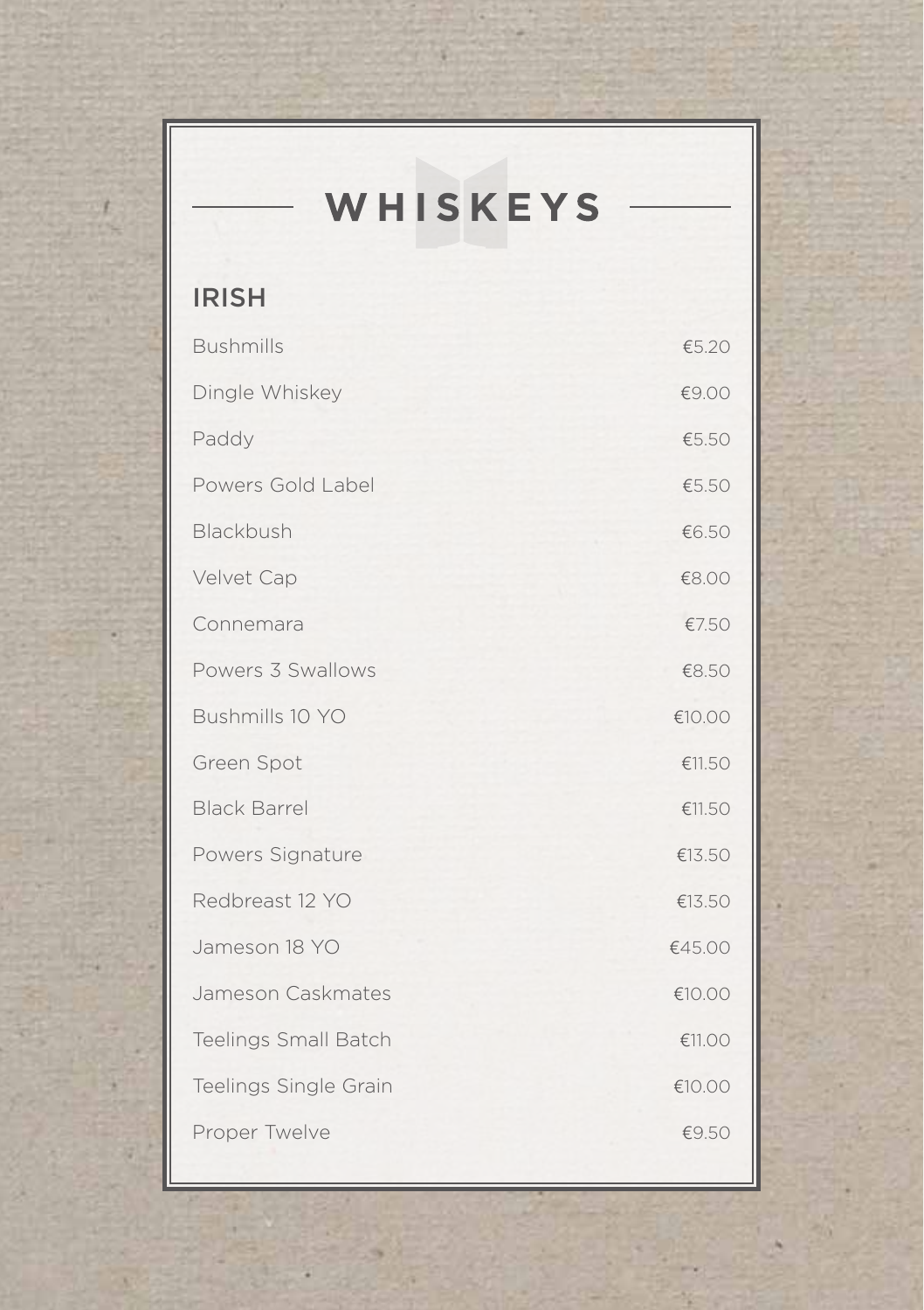| WHISKEYS                    |        |
|-----------------------------|--------|
| <b>IRISH</b>                |        |
| <b>Bushmills</b>            | €5.20  |
| Dingle Whiskey              | €9.00  |
| Paddy                       | €5.50  |
| Powers Gold Label           | €5.50  |
| Blackbush                   | €6.50  |
| Velvet Cap                  | €8.00  |
| Connemara                   | €7.50  |
| Powers 3 Swallows           | €8.50  |
| Bushmills 10 YO             | €10.00 |
| Green Spot                  | €11.50 |
| <b>Black Barrel</b>         | €11.50 |
| Powers Signature            | €13.50 |
| Redbreast 12 YO             | €13.50 |
| Jameson 18 YO               | €45.00 |
| Jameson Caskmates           | €10.00 |
| <b>Teelings Small Batch</b> | €11.00 |
| Teelings Single Grain       | €10.00 |
| Proper Twelve               | €9.50  |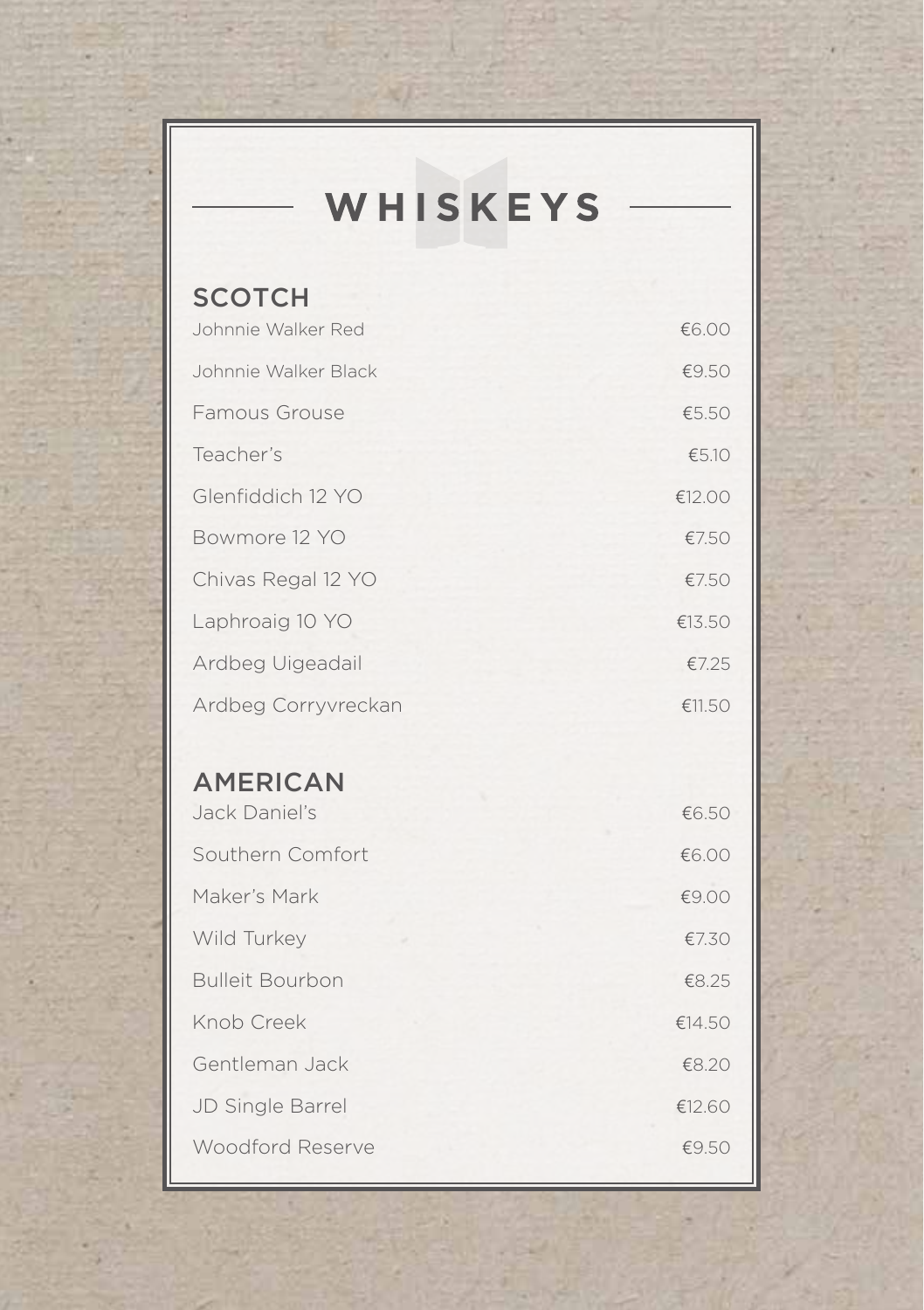# WHISKEYS

| <b>SCOTCH</b>          |        |
|------------------------|--------|
| Johnnie Walker Red     | €6.00  |
| Johnnie Walker Black   | €9.50  |
| Famous Grouse          | €5.50  |
| Teacher's              | €5.10  |
| Glenfiddich 12 YO      | €12.00 |
| Bowmore 12 YO          | €7.50  |
| Chivas Regal 12 YO     | €7.50  |
| Laphroaig 10 YO        | €13.50 |
| Ardbeg Uigeadail       | €7.25  |
| Ardbeg Corryvreckan    | €11.50 |
|                        |        |
|                        |        |
| <b>AMERICAN</b>        |        |
| Jack Daniel's          | €6.50  |
| Southern Comfort       | €6.00  |
| Maker's Mark           | €9.00  |
| Wild Turkey            | €7.30  |
| <b>Bulleit Bourbon</b> | €8.25  |
| Knob Creek             | €14.50 |
| Gentleman Jack         | €8.20  |
| JD Single Barrel       | €12.60 |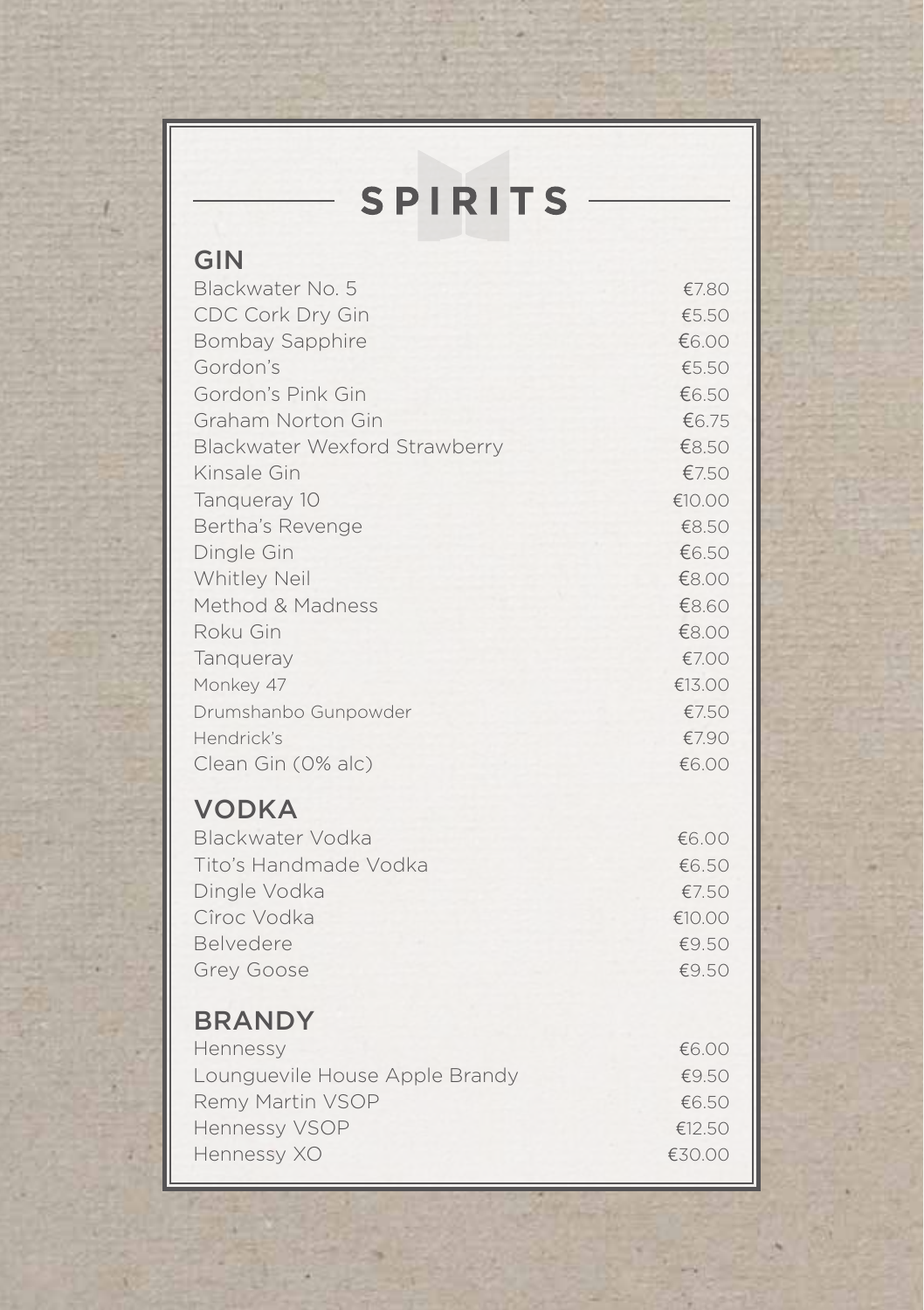# SPIRITS

| GIN                            |        |
|--------------------------------|--------|
| Blackwater No. 5               | €7.80  |
| <b>CDC Cork Dry Gin</b>        | €5.50  |
| <b>Bombay Sapphire</b>         | €6.00  |
| Gordon's                       | €5.50  |
| Gordon's Pink Gin              | €6.50  |
| Graham Norton Gin              | €6.75  |
| Blackwater Wexford Strawberry  | €8.50  |
| Kinsale Gin                    | €7.50  |
| Tanqueray 10                   | €10.00 |
| Bertha's Revenge               | €8.50  |
| Dingle Gin                     | €6.50  |
| Whitley Neil                   | €8.00  |
| Method & Madness               | €8.60  |
| Roku Gin                       | €8.00  |
| Tangueray                      | €7.00  |
| Monkey 47                      | €13.00 |
| Drumshanbo Gunpowder           | €7.50  |
| Hendrick's                     | €7.90  |
| Clean Gin (0% alc)             | €6.00  |
| <b>VODKA</b>                   |        |
| Blackwater Vodka               | €6.00  |
| Tito's Handmade Vodka          | €6.50  |
| Dingle Vodka                   | €7.50  |
| Cîroc Vodka                    | €10.00 |
| Belvedere                      | €9.50  |
| Grey Goose                     | €9.50  |
| <b>BRANDY</b>                  |        |
| Hennessy                       | €6.00  |
| Lounguevile House Apple Brandy | €9.50  |
| Remy Martin VSOP               | €6.50  |
| Hennessy VSOP                  | €12.50 |
| Hennessy XO                    | €30.00 |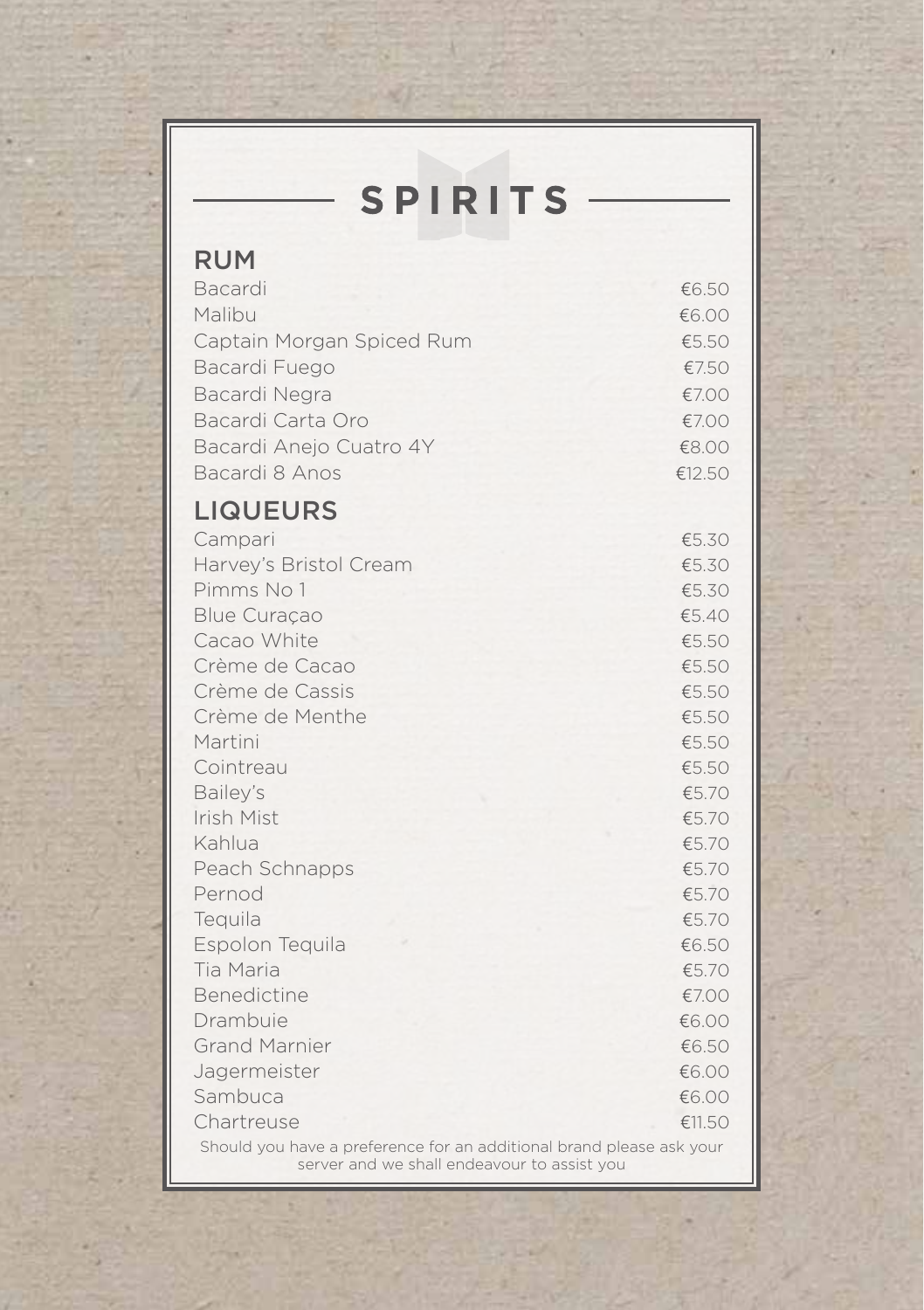| <b>SPIRITS</b>                                                       |                |
|----------------------------------------------------------------------|----------------|
| <b>RUM</b>                                                           |                |
|                                                                      |                |
| Bacardi                                                              | €6.50          |
| Malibu                                                               | €6.00          |
| Captain Morgan Spiced Rum                                            | €5.50          |
| Bacardi Fuego                                                        | €7.50          |
| Bacardi Negra                                                        | €7.00          |
| Bacardi Carta Oro                                                    | €7.00          |
| Bacardi Aneio Cuatro 4Y                                              | €8.00          |
| Bacardi 8 Anos                                                       | €12.50         |
| <b>LIQUEURS</b>                                                      |                |
| Campari                                                              | €5.30          |
| Harvey's Bristol Cream                                               | €5.30          |
| Pimms No 1                                                           | €5.30          |
| <b>Blue Curaçao</b>                                                  | €5.40          |
| Cacao White                                                          | €5.50          |
| Crème de Cacao                                                       | €5.50          |
| Crème de Cassis                                                      | €5.50          |
| Crème de Menthe                                                      | €5.50          |
| Martini                                                              | €5.50          |
| Cointreau                                                            | €5.50          |
| Bailey's                                                             | €5.70          |
| Irish Mist                                                           | €5.70          |
| Kahlua                                                               | €5.70          |
| Peach Schnapps                                                       | €5.70          |
| Pernod                                                               | €5.70          |
| Tequila                                                              | €5.70          |
| Espolon Tequila                                                      | €6.50          |
| Tia Maria<br><b>Benedictine</b>                                      | €5.70          |
|                                                                      | €7.00          |
| Drambuie                                                             | €6.00          |
| <b>Grand Marnier</b>                                                 | €6.50          |
| Jagermeister<br>Sambuca                                              | €6.00<br>€6.00 |
| Chartreuse                                                           | €11.50         |
| Should you have a preference for an additional brand please ask your |                |
| server and we shall endeavour to assist you                          |                |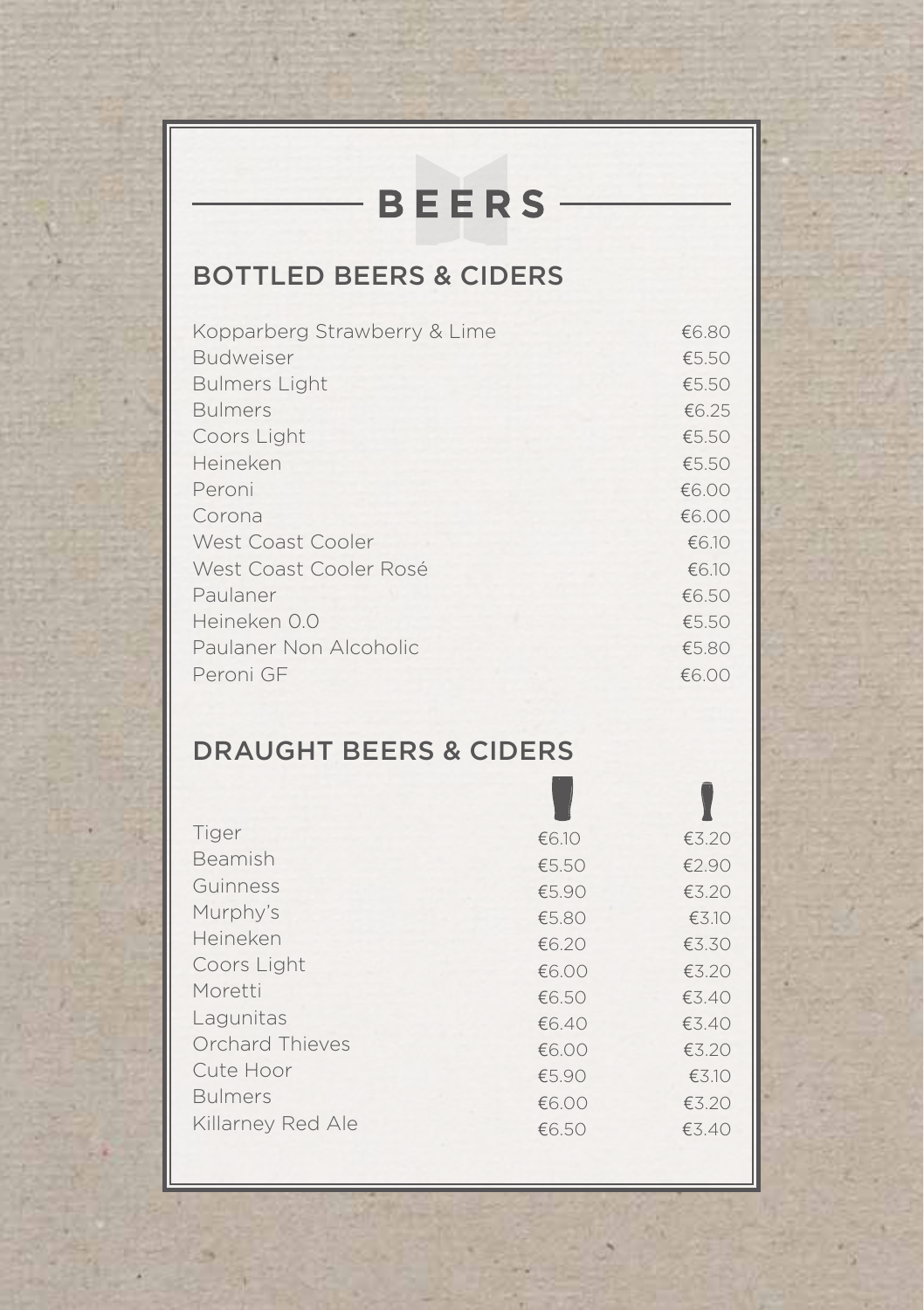# **BEERS**

## BOTTLED BEERS & CIDERS

| Kopparberg Strawberry & Lime | €6.80 |
|------------------------------|-------|
| <b>Budweiser</b>             | €5.50 |
| <b>Bulmers Light</b>         | €5.50 |
| <b>Bulmers</b>               | €6.25 |
| Coors Light                  | €5.50 |
| Heineken                     | €5.50 |
| Peroni                       | €6.00 |
| Corona                       | €6.00 |
| West Coast Cooler            | €6.10 |
| West Coast Cooler Rosé       | €6.10 |
| Paulaner                     | €6.50 |
| Heineken 0.0                 | €5.50 |
| Paulaner Non Alcoholic       | €5.80 |
| Peroni GF                    | €6.00 |

## DRAUGHT BEERS & CIDERS

| Tiger             | €6.10 | €3.20 |
|-------------------|-------|-------|
| Beamish           | €5.50 | €2.90 |
| Guinness          | €5.90 | €3.20 |
| Murphy's          | €5.80 | €3.10 |
| Heineken          | €6.20 | €3.30 |
| Coors Light       | €6.00 | €3.20 |
| Moretti           | €6.50 | €3.40 |
| Lagunitas         | €6.40 | €3.40 |
| Orchard Thieves   | €6.00 | €3.20 |
| Cute Hoor         | €5.90 | €3.10 |
| <b>Bulmers</b>    | €6.00 | €3.20 |
| Killarney Red Ale | €6.50 | €3.40 |
|                   |       |       |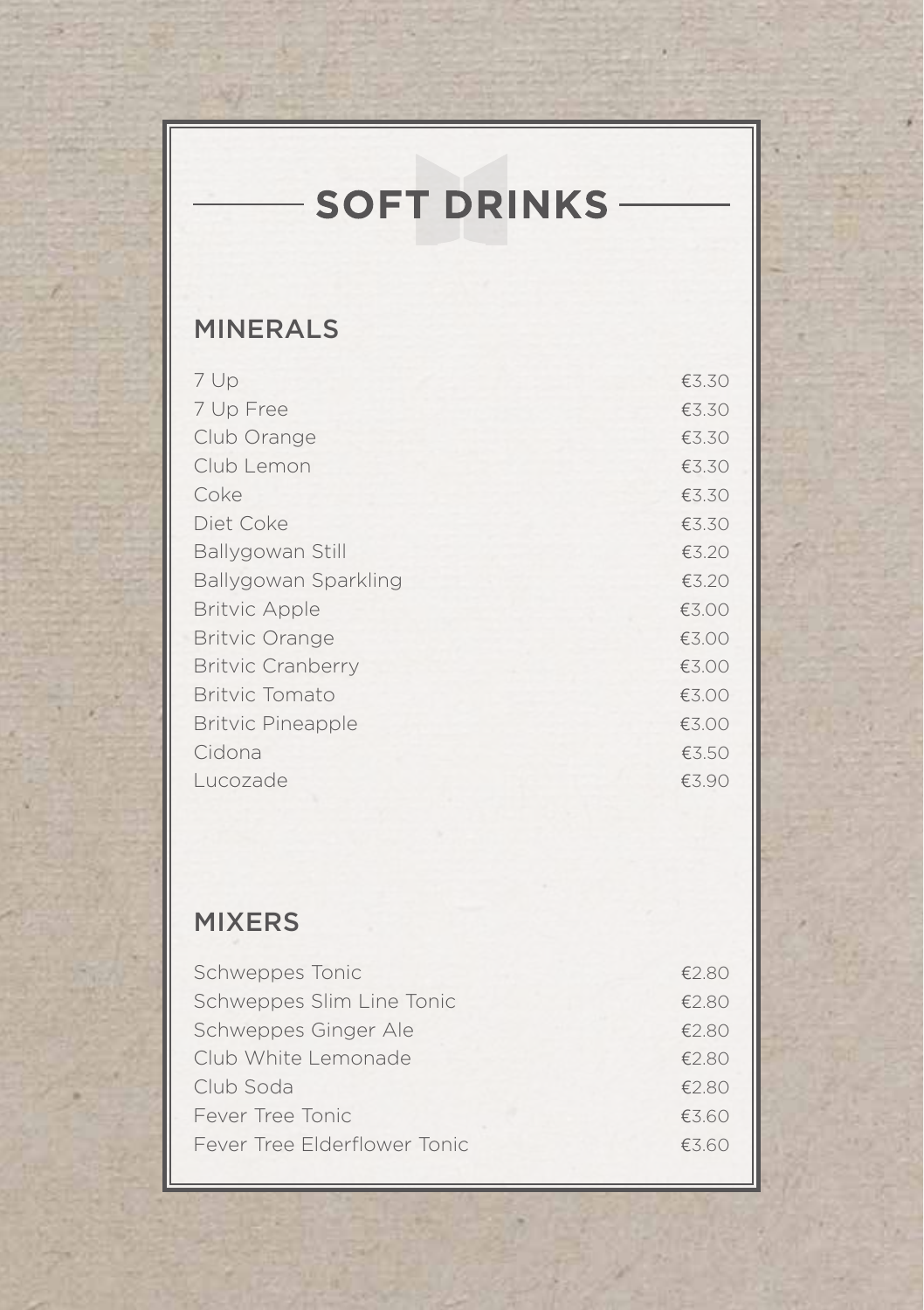# **SOFT DRINKS -**

## MINERALS

| 7 Up                     | €3.30 |
|--------------------------|-------|
| 7 Up Free                | €3.30 |
| Club Orange              | €3.30 |
| Club Lemon               | €3.30 |
| Coke                     | €3.30 |
| Diet Coke                | €3.30 |
| Ballygowan Still         | €3.20 |
| Ballygowan Sparkling     | €3.20 |
| <b>Britvic Apple</b>     | €3.00 |
| <b>Britvic Orange</b>    | €3.00 |
| <b>Britvic Cranberry</b> | €3.00 |
| <b>Britvic Tomato</b>    | €3.00 |
| <b>Britvic Pineapple</b> | €3.00 |
| Cidona                   | €3.50 |
| Lucozade                 | €3.90 |

### MIXERS

| Schweppes Tonic              | £2.80 |
|------------------------------|-------|
| Schweppes Slim Line Tonic    | €2.80 |
| Schweppes Ginger Ale         | €2.80 |
| Club White Lemonade          | €2.80 |
| Club Soda                    | €2.80 |
| Fever Tree Tonic             | €3.60 |
| Fever Tree Elderflower Tonic | €3.60 |
|                              |       |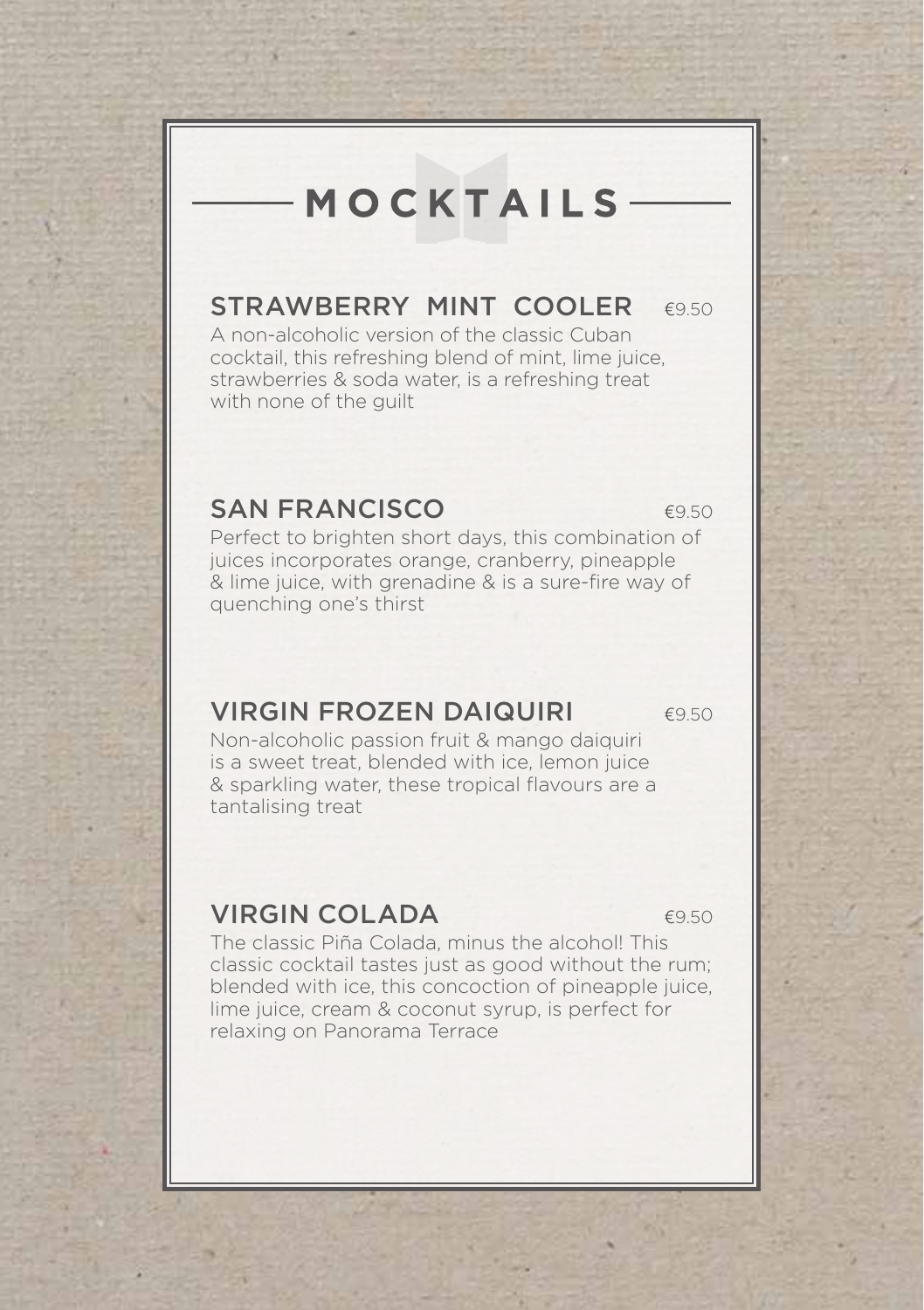# MOCKTAILS

## STRAWBERRY MINT COOLER  $6950$

A non-alcoholic version of the classic Cuban cocktail, this refreshing blend of mint, lime juice, strawberries & soda water, is a refreshing treat with none of the guilt

#### SAN FRANCISCO **E950**

Perfect to brighten short days, this combination of juices incorporates orange, cranberry, pineapple & lime juice, with grenadine & is a sure-fire way of quenching one's thirst

#### VIRGIN FROZEN DAIQUIRI €9.50

Non-alcoholic passion fruit & mango daiquiri is a sweet treat, blended with ice, lemon juice & sparkling water, these tropical flavours are a tantalising treat

#### **VIRGIN COLADA** €9.50

The classic Piña Colada, minus the alcohol! This classic cocktail tastes just as good without the rum; blended with ice, this concoction of pineapple juice, lime juice, cream & coconut syrup, is perfect for relaxing on Panorama Terrace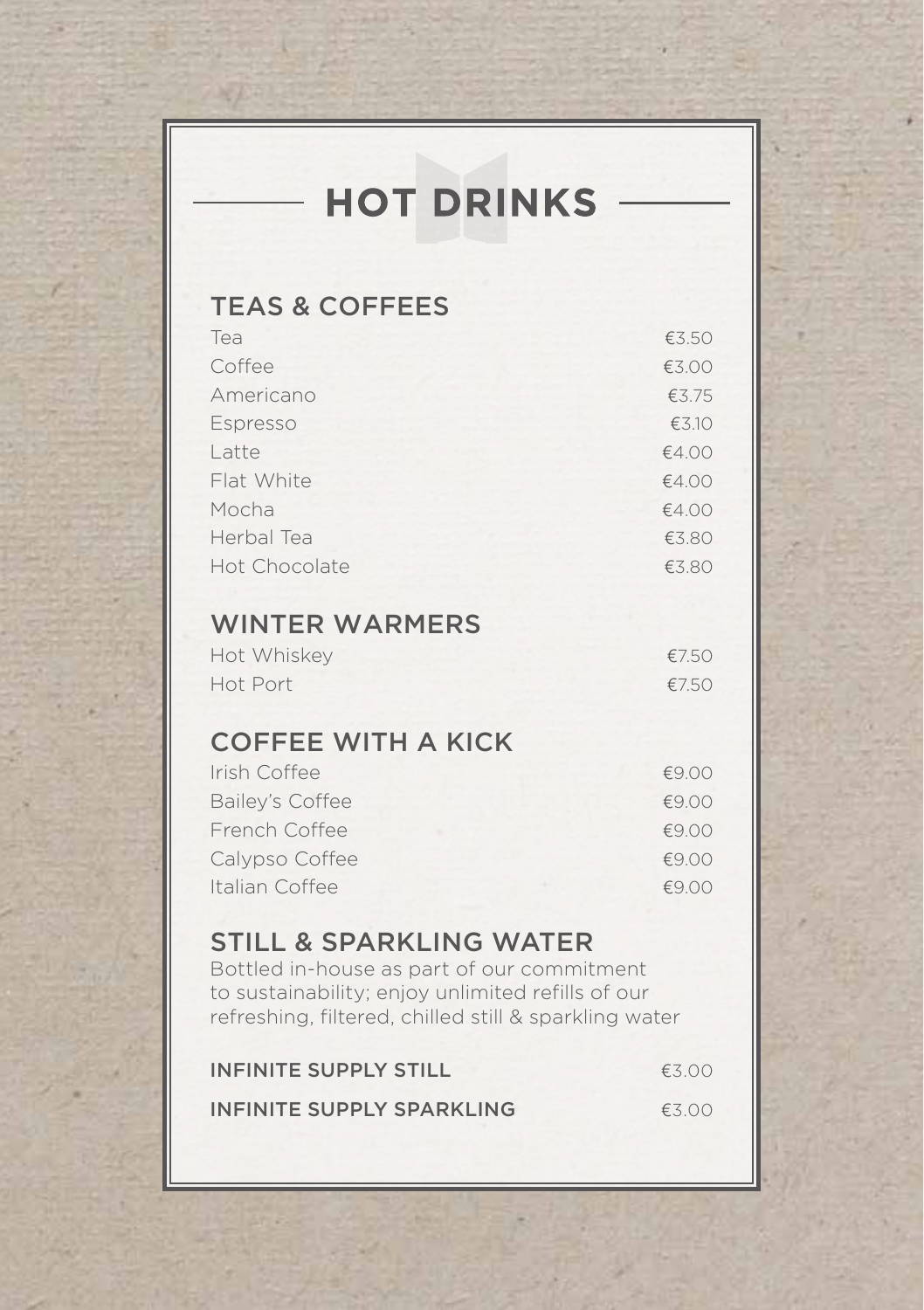# **HOT DRINKS**

#### TEAS & COFFEES

| Tea           | €3.50 |
|---------------|-------|
| Coffee        | €3.00 |
| Americano     | €3.75 |
| Espresso      | €3.10 |
| Latte         | €4.00 |
| Flat White    | €4.00 |
| Mocha         | €4.00 |
| Herbal Tea    | €3.80 |
| Hot Chocolate | €3.80 |

#### WINTER WARMERS

| Hot Whiskey | €7.50 |
|-------------|-------|
| Hot Port    | €7.50 |

### COFFEE WITH A KICK

| Irish Coffee    | €9.00 |
|-----------------|-------|
| Bailey's Coffee | €9.00 |
| French Coffee   | £9.00 |
| Calypso Coffee  | €9.00 |
| Italian Coffee  | €9.00 |

#### STILL & SPARKLING WATER

Bottled in-house as part of our commitment to sustainability; enjoy unlimited refills of our refreshing, filtered, chilled still & sparkling water

| INFINITE SUPPLY STILL     | £300 |  |
|---------------------------|------|--|
| INFINITE SUPPLY SPARKLING | £300 |  |